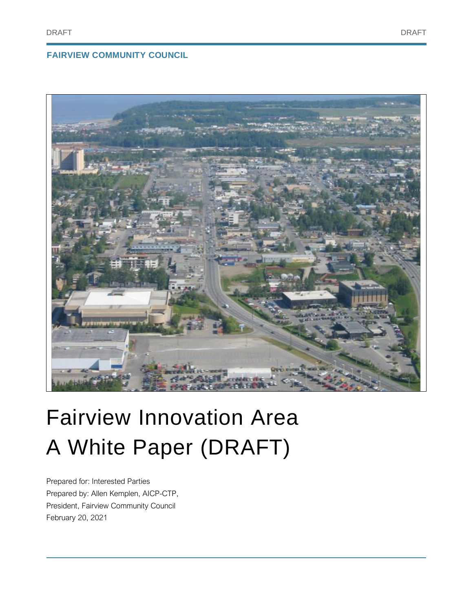# **FAIRVIEW COMMUNITY COUNCIL**



# Fairview Innovation Area A White Paper (DRAFT)

Prepared for: Interested Parties Prepared by: Allen Kemplen, AICP-CTP, President, Fairview Community Council February 20, 2021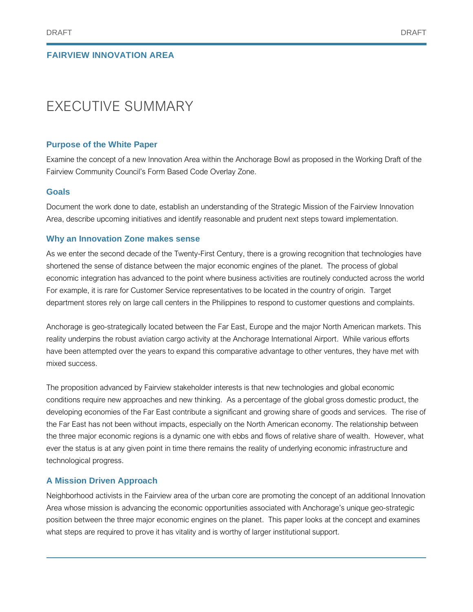# EXECUTIVE SUMMARY

# **Purpose of the White Paper**

Examine the concept of a new Innovation Area within the Anchorage Bowl as proposed in the Working Draft of the Fairview Community Council's Form Based Code Overlay Zone.

# **Goals**

Document the work done to date, establish an understanding of the Strategic Mission of the Fairview Innovation Area, describe upcoming initiatives and identify reasonable and prudent next steps toward implementation.

# **Why an Innovation Zone makes sense**

As we enter the second decade of the Twenty-First Century, there is a growing recognition that technologies have shortened the sense of distance between the major economic engines of the planet. The process of global economic integration has advanced to the point where business activities are routinely conducted across the world For example, it is rare for Customer Service representatives to be located in the country of origin. Target department stores rely on large call centers in the Philippines to respond to customer questions and complaints.

Anchorage is geo-strategically located between the Far East, Europe and the major North American markets. This reality underpins the robust aviation cargo activity at the Anchorage International Airport. While various efforts have been attempted over the years to expand this comparative advantage to other ventures, they have met with mixed success.

The proposition advanced by Fairview stakeholder interests is that new technologies and global economic conditions require new approaches and new thinking. As a percentage of the global gross domestic product, the developing economies of the Far East contribute a significant and growing share of goods and services. The rise of the Far East has not been without impacts, especially on the North American economy. The relationship between the three major economic regions is a dynamic one with ebbs and flows of relative share of wealth. However, what ever the status is at any given point in time there remains the reality of underlying economic infrastructure and technological progress.

# **A Mission Driven Approach**

Neighborhood activists in the Fairview area of the urban core are promoting the concept of an additional Innovation Area whose mission is advancing the economic opportunities associated with Anchorage's unique geo-strategic position between the three major economic engines on the planet. This paper looks at the concept and examines what steps are required to prove it has vitality and is worthy of larger institutional support.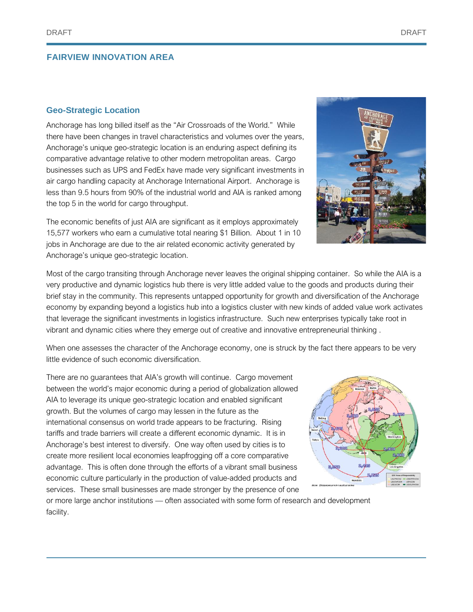#### **Geo-Strategic Location**

Anchorage has long billed itself as the "Air Crossroads of the World." While there have been changes in travel characteristics and volumes over the years, Anchorage's unique geo-strategic location is an enduring aspect defining its comparative advantage relative to other modern metropolitan areas. Cargo businesses such as UPS and FedEx have made very significant investments in air cargo handling capacity at Anchorage International Airport. Anchorage is less than 9.5 hours from 90% of the industrial world and AIA is ranked among the top 5 in the world for cargo throughput.

The economic benefits of just AIA are significant as it employs approximately 15,577 workers who earn a cumulative total nearing \$1 Billion. About 1 in 10 jobs in Anchorage are due to the air related economic activity generated by Anchorage's unique geo-strategic location.

Most of the cargo transiting through Anchorage never leaves the original shipping container. So while the AIA is a very productive and dynamic logistics hub there is very little added value to the goods and products during their brief stay in the community. This represents untapped opportunity for growth and diversification of the Anchorage economy by expanding beyond a logistics hub into a logistics cluster with new kinds of added value work activates that leverage the significant investments in logistics infrastructure. Such new enterprises typically take root in vibrant and dynamic cities where they emerge out of creative and innovative entrepreneurial thinking .

When one assesses the character of the Anchorage economy, one is struck by the fact there appears to be very little evidence of such economic diversification.

There are no guarantees that AIA's growth will continue. Cargo movement between the world's major economic during a period of globalization allowed AIA to leverage its unique geo-strategic location and enabled significant growth. But the volumes of cargo may lessen in the future as the international consensus on world trade appears to be fracturing. Rising tariffs and trade barriers will create a different economic dynamic. It is in Anchorage's best interest to diversify. One way often used by cities is to create more resilient local economies leapfrogging off a core comparative advantage. This is often done through the efforts of a vibrant small business economic culture particularly in the production of value-added products and services. These small businesses are made stronger by the presence of one

or more large anchor institutions — often associated with some form of research and development facility.





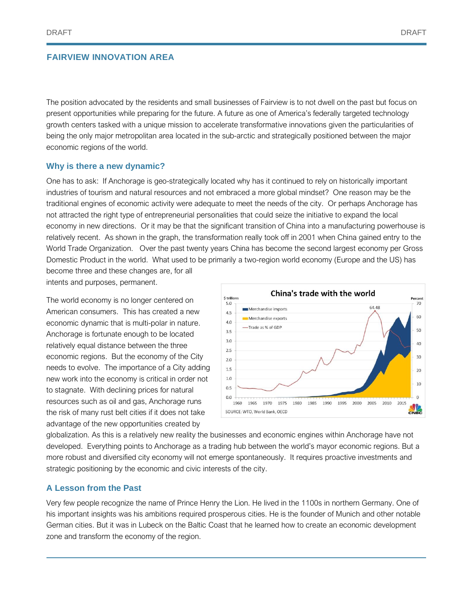The position advocated by the residents and small businesses of Fairview is to not dwell on the past but focus on present opportunities while preparing for the future. A future as one of America's federally targeted technology growth centers tasked with a unique mission to accelerate transformative innovations given the particularities of being the only major metropolitan area located in the sub-arctic and strategically positioned between the major economic regions of the world.

#### **Why is there a new dynamic?**

One has to ask: If Anchorage is geo-strategically located why has it continued to rely on historically important industries of tourism and natural resources and not embraced a more global mindset? One reason may be the traditional engines of economic activity were adequate to meet the needs of the city. Or perhaps Anchorage has not attracted the right type of entrepreneurial personalities that could seize the initiative to expand the local economy in new directions. Or it may be that the significant transition of China into a manufacturing powerhouse is relatively recent. As shown in the graph, the transformation really took off in 2001 when China gained entry to the World Trade Organization. Over the past twenty years China has become the second largest economy per Gross Domestic Product in the world. What used to be primarily a two-region world economy (Europe and the US) has become three and these changes are, for all

intents and purposes, permanent.

The world economy is no longer centered on American consumers. This has created a new economic dynamic that is multi-polar in nature. Anchorage is fortunate enough to be located relatively equal distance between the three economic regions. But the economy of the City needs to evolve. The importance of a City adding new work into the economy is critical in order not to stagnate. With declining prices for natural resources such as oil and gas, Anchorage runs the risk of many rust belt cities if it does not take advantage of the new opportunities created by



globalization. As this is a relatively new reality the businesses and economic engines within Anchorage have not developed. Everything points to Anchorage as a trading hub between the world's mayor economic regions. But a more robust and diversified city economy will not emerge spontaneously. It requires proactive investments and strategic positioning by the economic and civic interests of the city.

# **A Lesson from the Past**

Very few people recognize the name of Prince Henry the Lion. He lived in the 1100s in northern Germany. One of his important insights was his ambitions required prosperous cities. He is the founder of Munich and other notable German cities. But it was in Lubeck on the Baltic Coast that he learned how to create an economic development zone and transform the economy of the region.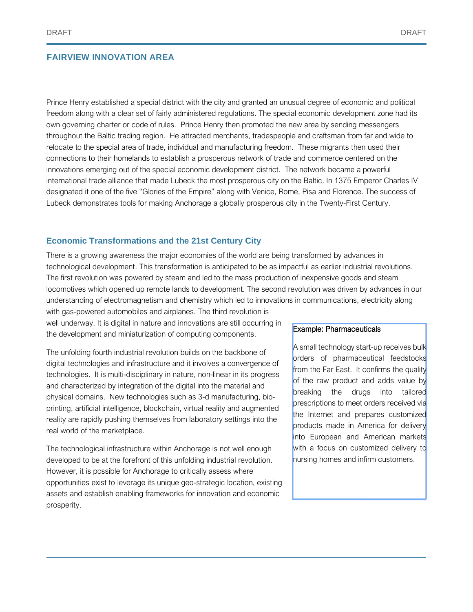Prince Henry established a special district with the city and granted an unusual degree of economic and political freedom along with a clear set of fairly administered regulations. The special economic development zone had its own governing charter or code of rules. Prince Henry then promoted the new area by sending messengers throughout the Baltic trading region. He attracted merchants, tradespeople and craftsman from far and wide to relocate to the special area of trade, individual and manufacturing freedom. These migrants then used their connections to their homelands to establish a prosperous network of trade and commerce centered on the innovations emerging out of the special economic development district. The network became a powerful international trade alliance that made Lubeck the most prosperous city on the Baltic. In 1375 Emperor Charles IV designated it one of the five "Glories of the Empire" along with Venice, Rome, Pisa and Florence. The success of Lubeck demonstrates tools for making Anchorage a globally prosperous city in the Twenty-First Century.

#### **Economic Transformations and the 21st Century City**

There is a growing awareness the major economies of the world are being transformed by advances in technological development. This transformation is anticipated to be as impactful as earlier industrial revolutions. The first revolution was powered by steam and led to the mass production of inexpensive goods and steam locomotives which opened up remote lands to development. The second revolution was driven by advances in our understanding of electromagnetism and chemistry which led to innovations in communications, electricity along

with gas-powered automobiles and airplanes. The third revolution is well underway. It is digital in nature and innovations are still occurring in the development and miniaturization of computing components.

The unfolding fourth industrial revolution builds on the backbone of digital technologies and infrastructure and it involves a convergence of technologies. It is multi-disciplinary in nature, non-linear in its progress and characterized by integration of the digital into the material and physical domains. New technologies such as 3-d manufacturing, bioprinting, artificial intelligence, blockchain, virtual reality and augmented reality are rapidly pushing themselves from laboratory settings into the real world of the marketplace.

The technological infrastructure within Anchorage is not well enough developed to be at the forefront of this unfolding industrial revolution. However, it is possible for Anchorage to critically assess where opportunities exist to leverage its unique geo-strategic location, existing assets and establish enabling frameworks for innovation and economic prosperity.

#### Example: Pharmaceuticals

A small technology start-up receives bulk orders of pharmaceutical feedstocks from the Far East. It confirms the quality of the raw product and adds value by breaking the drugs into tailored prescriptions to meet orders received via the Internet and prepares customized products made in America for delivery into European and American markets with a focus on customized delivery to nursing homes and infirm customers.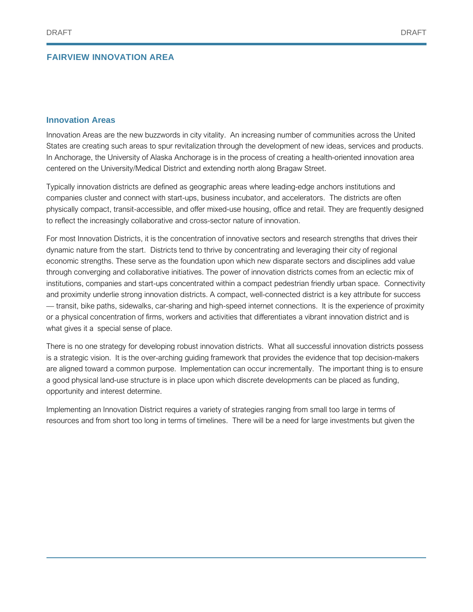#### **Innovation Areas**

Innovation Areas are the new buzzwords in city vitality. An increasing number of communities across the United States are creating such areas to spur revitalization through the development of new ideas, services and products. In Anchorage, the University of Alaska Anchorage is in the process of creating a health-oriented innovation area centered on the University/Medical District and extending north along Bragaw Street.

Typically innovation districts are defined as geographic areas where leading-edge anchors institutions and companies cluster and connect with start-ups, business incubator, and accelerators. The districts are often physically compact, transit-accessible, and offer mixed-use housing, office and retail. They are frequently designed to reflect the increasingly collaborative and cross-sector nature of innovation.

For most Innovation Districts, it is the concentration of innovative sectors and research strengths that drives their dynamic nature from the start. Districts tend to thrive by concentrating and leveraging their city of regional economic strengths. These serve as the foundation upon which new disparate sectors and disciplines add value through converging and collaborative initiatives. The power of innovation districts comes from an eclectic mix of institutions, companies and start-ups concentrated within a compact pedestrian friendly urban space. Connectivity and proximity underlie strong innovation districts. A compact, well-connected district is a key attribute for success — transit, bike paths, sidewalks, car-sharing and high-speed internet connections. It is the experience of proximity or a physical concentration of firms, workers and activities that differentiates a vibrant innovation district and is what gives it a special sense of place.

There is no one strategy for developing robust innovation districts. What all successful innovation districts possess is a strategic vision. It is the over-arching guiding framework that provides the evidence that top decision-makers are aligned toward a common purpose. Implementation can occur incrementally. The important thing is to ensure a good physical land-use structure is in place upon which discrete developments can be placed as funding, opportunity and interest determine.

Implementing an Innovation District requires a variety of strategies ranging from small too large in terms of resources and from short too long in terms of timelines. There will be a need for large investments but given the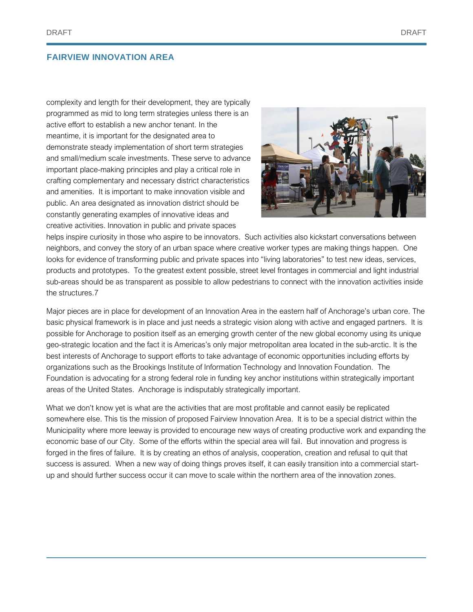complexity and length for their development, they are typically programmed as mid to long term strategies unless there is an active effort to establish a new anchor tenant. In the meantime, it is important for the designated area to demonstrate steady implementation of short term strategies and small/medium scale investments. These serve to advance important place-making principles and play a critical role in crafting complementary and necessary district characteristics and amenities. It is important to make innovation visible and public. An area designated as innovation district should be constantly generating examples of innovative ideas and creative activities. Innovation in public and private spaces



helps inspire curiosity in those who aspire to be innovators. Such activities also kickstart conversations between neighbors, and convey the story of an urban space where creative worker types are making things happen. One looks for evidence of transforming public and private spaces into "living laboratories" to test new ideas, services, products and prototypes. To the greatest extent possible, street level frontages in commercial and light industrial sub-areas should be as transparent as possible to allow pedestrians to connect with the innovation activities inside the structures.7

Major pieces are in place for development of an Innovation Area in the eastern half of Anchorage's urban core. The basic physical framework is in place and just needs a strategic vision along with active and engaged partners. It is possible for Anchorage to position itself as an emerging growth center of the new global economy using its unique geo-strategic location and the fact it is Americas's only major metropolitan area located in the sub-arctic. It is the best interests of Anchorage to support efforts to take advantage of economic opportunities including efforts by organizations such as the Brookings Institute of Information Technology and Innovation Foundation. The Foundation is advocating for a strong federal role in funding key anchor institutions within strategically important areas of the United States. Anchorage is indisputably strategically important.

What we don't know yet is what are the activities that are most profitable and cannot easily be replicated somewhere else. This tis the mission of proposed Fairview Innovation Area. It is to be a special district within the Municipality where more leeway is provided to encourage new ways of creating productive work and expanding the economic base of our City. Some of the efforts within the special area will fail. But innovation and progress is forged in the fires of failure. It is by creating an ethos of analysis, cooperation, creation and refusal to quit that success is assured. When a new way of doing things proves itself, it can easily transition into a commercial startup and should further success occur it can move to scale within the northern area of the innovation zones.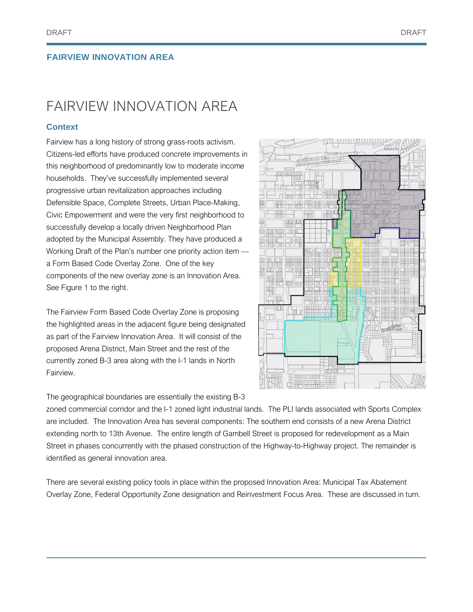# FAIRVIEW INNOVATION AREA

# **Context**

Fairview has a long history of strong grass-roots activism. Citizens-led efforts have produced concrete improvements in this neighborhood of predominantly low to moderate income households. They've successfully implemented several progressive urban revitalization approaches including Defensible Space, Complete Streets, Urban Place-Making, Civic Empowerment and were the very first neighborhood to successfully develop a locally driven Neighborhood Plan adopted by the Municipal Assembly. They have produced a Working Draft of the Plan's number one priority action item a Form Based Code Overlay Zone. One of the key components of the new overlay zone is an Innovation Area. See Figure 1 to the right.

The Fairview Form Based Code Overlay Zone is proposing the highlighted areas in the adjacent figure being designated as part of the Fairview Innovation Area. It will consist of the proposed Arena District, Main Street and the rest of the currently zoned B-3 area along with the I-1 lands in North Fairview.

The geographical boundaries are essentially the existing B-3

zoned commercial corridor and the I-1 zoned light industrial lands. The PLI lands associated with Sports Complex are included. The Innovation Area has several components: The southern end consists of a new Arena District extending north to 13th Avenue. The entire length of Gambell Street is proposed for redevelopment as a Main Street in phases concurrently with the phased construction of the Highway-to-Highway project. The remainder is identified as general innovation area.

There are several existing policy tools in place within the proposed Innovation Area: Municipal Tax Abatement Overlay Zone, Federal Opportunity Zone designation and Reinvestment Focus Area. These are discussed in turn.

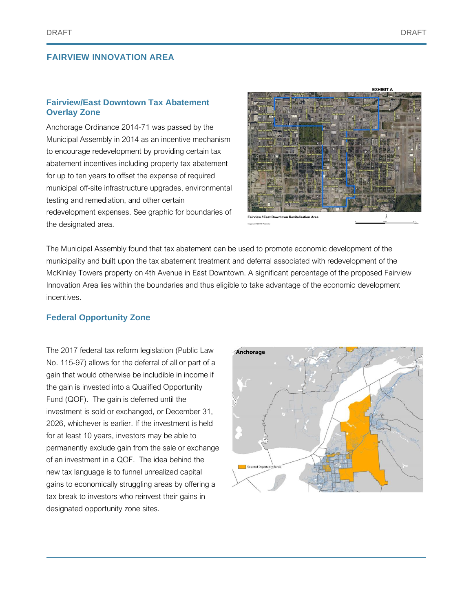# **Fairview/East Downtown Tax Abatement Overlay Zone**

Anchorage Ordinance 2014-71 was passed by the Municipal Assembly in 2014 as an incentive mechanism to encourage redevelopment by providing certain tax abatement incentives including property tax abatement for up to ten years to offset the expense of required municipal off-site infrastructure upgrades, environmental testing and remediation, and other certain redevelopment expenses. See graphic for boundaries of the designated area.



The Municipal Assembly found that tax abatement can be used to promote economic development of the municipality and built upon the tax abatement treatment and deferral associated with redevelopment of the McKinley Towers property on 4th Avenue in East Downtown. A significant percentage of the proposed Fairview Innovation Area lies within the boundaries and thus eligible to take advantage of the economic development incentives.

#### **Federal Opportunity Zone**

The 2017 federal tax reform legislation (Public Law No. 115-97) allows for the deferral of all or part of a gain that would otherwise be includible in income if the gain is invested into a Qualified Opportunity Fund (QOF). The gain is deferred until the investment is sold or exchanged, or December 31, 2026, whichever is earlier. If the investment is held for at least 10 years, investors may be able to permanently exclude gain from the sale or exchange of an investment in a QOF. The idea behind the new tax language is to funnel unrealized capital gains to economically struggling areas by offering a tax break to investors who reinvest their gains in designated opportunity zone sites.

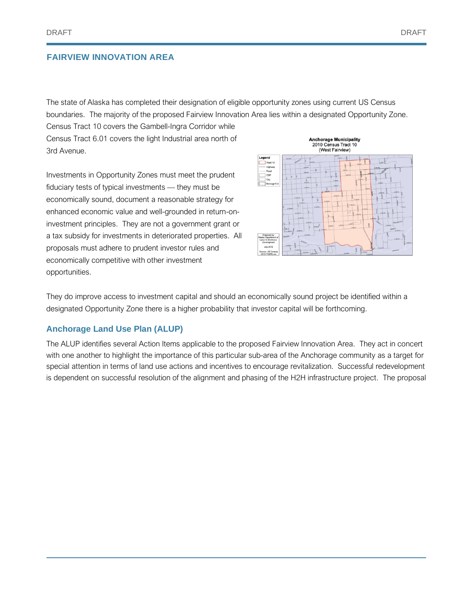The state of Alaska has completed their designation of eligible opportunity zones using current US Census boundaries. The majority of the proposed Fairview Innovation Area lies within a designated Opportunity Zone.

Census Tract 10 covers the Gambell-Ingra Corridor while Census Tract 6.01 covers the light Industrial area north of 3rd Avenue.

Investments in Opportunity Zones must meet the prudent fiduciary tests of typical investments — they must be economically sound, document a reasonable strategy for enhanced economic value and well-grounded in return-oninvestment principles. They are not a government grant or a tax subsidy for investments in deteriorated properties. All proposals must adhere to prudent investor rules and economically competitive with other investment opportunities.



They do improve access to investment capital and should an economically sound project be identified within a designated Opportunity Zone there is a higher probability that investor capital will be forthcoming.

# **Anchorage Land Use Plan (ALUP)**

The ALUP identifies several Action Items applicable to the proposed Fairview Innovation Area. They act in concert with one another to highlight the importance of this particular sub-area of the Anchorage community as a target for special attention in terms of land use actions and incentives to encourage revitalization. Successful redevelopment is dependent on successful resolution of the alignment and phasing of the H2H infrastructure project. The proposal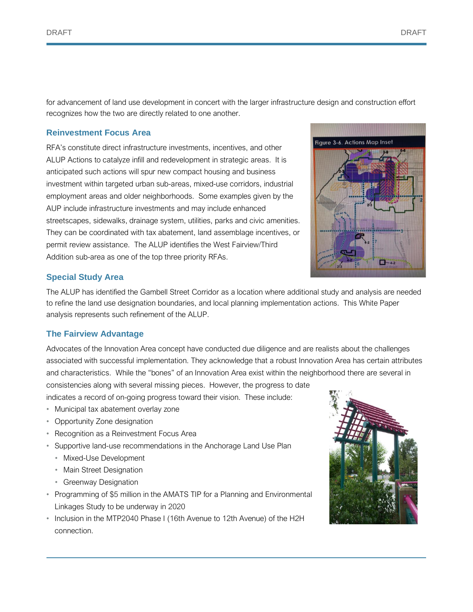for advancement of land use development in concert with the larger infrastructure design and construction effort recognizes how the two are directly related to one another.

#### **Reinvestment Focus Area**

RFA's constitute direct infrastructure investments, incentives, and other ALUP Actions to catalyze infill and redevelopment in strategic areas. It is anticipated such actions will spur new compact housing and business investment within targeted urban sub-areas, mixed-use corridors, industrial employment areas and older neighborhoods. Some examples given by the AUP include infrastructure investments and may include enhanced streetscapes, sidewalks, drainage system, utilities, parks and civic amenities. They can be coordinated with tax abatement, land assemblage incentives, or permit review assistance. The ALUP identifies the West Fairview/Third Addition sub-area as one of the top three priority RFAs.



# **Special Study Area**

The ALUP has identified the Gambell Street Corridor as a location where additional study and analysis are needed to refine the land use designation boundaries, and local planning implementation actions. This White Paper analysis represents such refinement of the ALUP.

# **The Fairview Advantage**

Advocates of the Innovation Area concept have conducted due diligence and are realists about the challenges associated with successful implementation. They acknowledge that a robust Innovation Area has certain attributes and characteristics. While the "bones" of an Innovation Area exist within the neighborhood there are several in consistencies along with several missing pieces. However, the progress to date

indicates a record of on-going progress toward their vision. These include:

- Municipal tax abatement overlay zone
- Opportunity Zone designation
- Recognition as a Reinvestment Focus Area
- Supportive land-use recommendations in the Anchorage Land Use Plan
	- Mixed-Use Development
	- Main Street Designation
	- Greenway Designation
- Programming of \$5 million in the AMATS TIP for a Planning and Environmental Linkages Study to be underway in 2020
- Inclusion in the MTP2040 Phase I (16th Avenue to 12th Avenue) of the H2H connection.

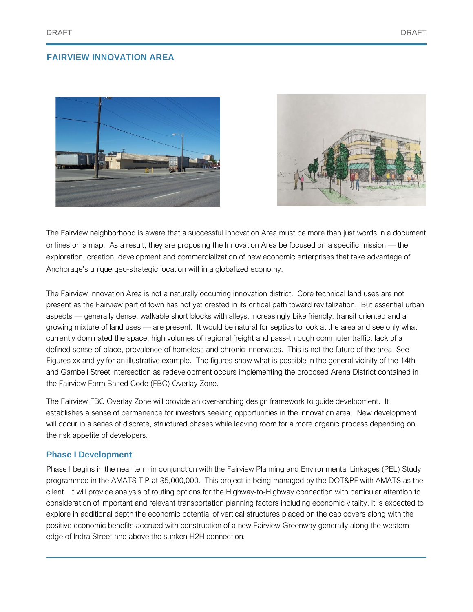



The Fairview neighborhood is aware that a successful Innovation Area must be more than just words in a document or lines on a map. As a result, they are proposing the Innovation Area be focused on a specific mission — the exploration, creation, development and commercialization of new economic enterprises that take advantage of Anchorage's unique geo-strategic location within a globalized economy.

The Fairview Innovation Area is not a naturally occurring innovation district. Core technical land uses are not present as the Fairview part of town has not yet crested in its critical path toward revitalization. But essential urban aspects — generally dense, walkable short blocks with alleys, increasingly bike friendly, transit oriented and a growing mixture of land uses — are present. It would be natural for septics to look at the area and see only what currently dominated the space: high volumes of regional freight and pass-through commuter traffic, lack of a defined sense-of-place, prevalence of homeless and chronic innervates. This is not the future of the area. See Figures xx and yy for an illustrative example. The figures show what is possible in the general vicinity of the 14th and Gambell Street intersection as redevelopment occurs implementing the proposed Arena District contained in the Fairview Form Based Code (FBC) Overlay Zone.

The Fairview FBC Overlay Zone will provide an over-arching design framework to guide development. It establishes a sense of permanence for investors seeking opportunities in the innovation area. New development will occur in a series of discrete, structured phases while leaving room for a more organic process depending on the risk appetite of developers.

# **Phase I Development**

Phase I begins in the near term in conjunction with the Fairview Planning and Environmental Linkages (PEL) Study programmed in the AMATS TIP at \$5,000,000. This project is being managed by the DOT&PF with AMATS as the client. It will provide analysis of routing options for the Highway-to-Highway connection with particular attention to consideration of important and relevant transportation planning factors including economic vitality. It is expected to explore in additional depth the economic potential of vertical structures placed on the cap covers along with the positive economic benefits accrued with construction of a new Fairview Greenway generally along the western edge of Indra Street and above the sunken H2H connection.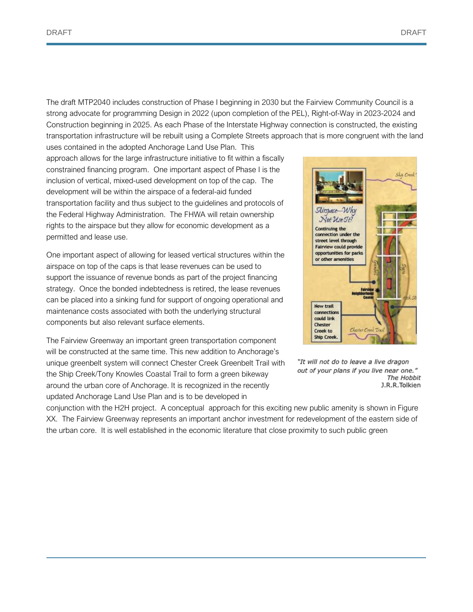The draft MTP2040 includes construction of Phase I beginning in 2030 but the Fairview Community Council is a strong advocate for programming Design in 2022 (upon completion of the PEL), Right-of-Way in 2023-2024 and Construction beginning in 2025. As each Phase of the Interstate Highway connection is constructed, the existing transportation infrastructure will be rebuilt using a Complete Streets approach that is more congruent with the land uses contained in the adopted Anchorage Land Use Plan. This

approach allows for the large infrastructure initiative to fit within a fiscally constrained financing program. One important aspect of Phase I is the inclusion of vertical, mixed-used development on top of the cap. The development will be within the airspace of a federal-aid funded transportation facility and thus subject to the guidelines and protocols of the Federal Highway Administration. The FHWA will retain ownership rights to the airspace but they allow for economic development as a permitted and lease use.

One important aspect of allowing for leased vertical structures within the airspace on top of the caps is that lease revenues can be used to support the issuance of revenue bonds as part of the project financing strategy. Once the bonded indebtedness is retired, the lease revenues can be placed into a sinking fund for support of ongoing operational and maintenance costs associated with both the underlying structural components but also relevant surface elements.

The Fairview Greenway an important green transportation component will be constructed at the same time. This new addition to Anchorage's unique greenbelt system will connect Chester Creek Greenbelt Trail with the Ship Creek/Tony Knowles Coastal Trail to form a green bikeway around the urban core of Anchorage. It is recognized in the recently updated Anchorage Land Use Plan and is to be developed in



"It will not do to leave a live dragon out of your plans if you live near one." The Hobbit J.R.R.Tolkien

conjunction with the H2H project. A conceptual approach for this exciting new public amenity is shown in Figure XX. The Fairview Greenway represents an important anchor investment for redevelopment of the eastern side of the urban core. It is well established in the economic literature that close proximity to such public green